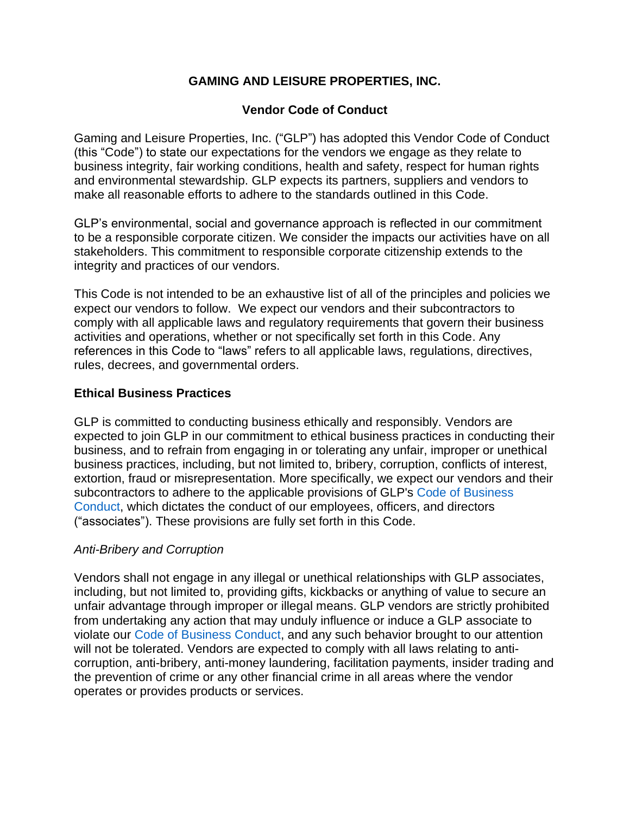# **GAMING AND LEISURE PROPERTIES, INC.**

# **Vendor Code of Conduct**

Gaming and Leisure Properties, Inc. ("GLP") has adopted this Vendor Code of Conduct (this "Code") to state our expectations for the vendors we engage as they relate to business integrity, fair working conditions, health and safety, respect for human rights and environmental stewardship. GLP expects its partners, suppliers and vendors to make all reasonable efforts to adhere to the standards outlined in this Code.

GLP's environmental, social and governance approach is reflected in our commitment to be a responsible corporate citizen. We consider the impacts our activities have on all stakeholders. This commitment to responsible corporate citizenship extends to the integrity and practices of our vendors.

This Code is not intended to be an exhaustive list of all of the principles and policies we expect our vendors to follow. We expect our vendors and their subcontractors to comply with all applicable laws and regulatory requirements that govern their business activities and operations, whether or not specifically set forth in this Code. Any references in this Code to "laws" refers to all applicable laws, regulations, directives, rules, decrees, and governmental orders.

### **Ethical Business Practices**

GLP is committed to conducting business ethically and responsibly. Vendors are expected to join GLP in our commitment to ethical business practices in conducting their business, and to refrain from engaging in or tolerating any unfair, improper or unethical business practices, including, but not limited to, bribery, corruption, conflicts of interest, extortion, fraud or misrepresentation. More specifically, we expect our vendors and their subcontractors to adhere to the applicable provisions of GLP's Code of Business Conduct, which dictates the conduct of our employees, officers, and directors ("associates"). These provisions are fully set forth in this Code.

# *Anti-Bribery and Corruption*

Vendors shall not engage in any illegal or unethical relationships with GLP associates, including, but not limited to, providing gifts, kickbacks or anything of value to secure an unfair advantage through improper or illegal means. GLP vendors are strictly prohibited from undertaking any action that may unduly influence or induce a GLP associate to violate our Code of Business Conduct, and any such behavior brought to our attention will not be tolerated. Vendors are expected to comply with all laws relating to anticorruption, anti-bribery, anti-money laundering, facilitation payments, insider trading and the prevention of crime or any other financial crime in all areas where the vendor operates or provides products or services.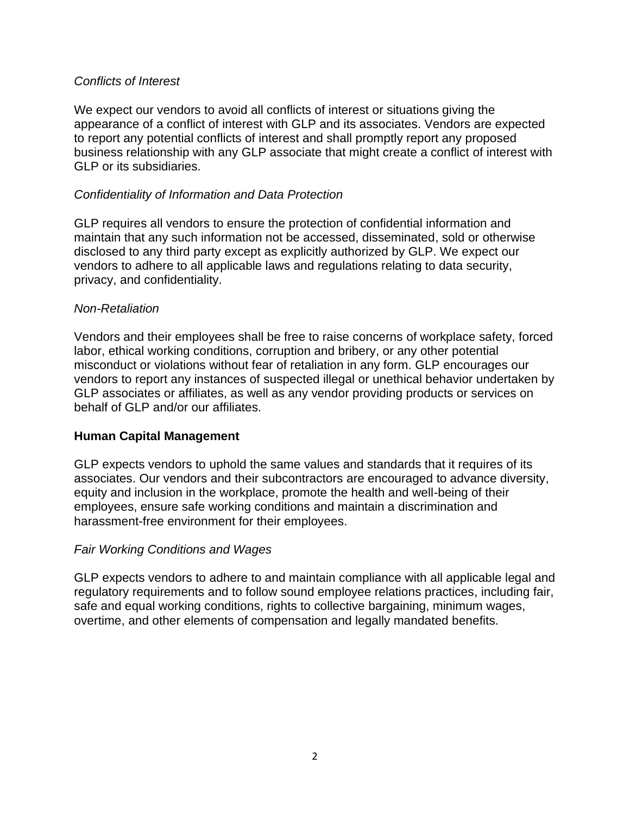#### *Conflicts of Interest*

We expect our vendors to avoid all conflicts of interest or situations giving the appearance of a conflict of interest with GLP and its associates. Vendors are expected to report any potential conflicts of interest and shall promptly report any proposed business relationship with any GLP associate that might create a conflict of interest with GLP or its subsidiaries.

### *Confidentiality of Information and Data Protection*

GLP requires all vendors to ensure the protection of confidential information and maintain that any such information not be accessed, disseminated, sold or otherwise disclosed to any third party except as explicitly authorized by GLP. We expect our vendors to adhere to all applicable laws and regulations relating to data security, privacy, and confidentiality.

#### *Non-Retaliation*

Vendors and their employees shall be free to raise concerns of workplace safety, forced labor, ethical working conditions, corruption and bribery, or any other potential misconduct or violations without fear of retaliation in any form. GLP encourages our vendors to report any instances of suspected illegal or unethical behavior undertaken by GLP associates or affiliates, as well as any vendor providing products or services on behalf of GLP and/or our affiliates.

# **Human Capital Management**

GLP expects vendors to uphold the same values and standards that it requires of its associates. Our vendors and their subcontractors are encouraged to advance diversity, equity and inclusion in the workplace, promote the health and well-being of their employees, ensure safe working conditions and maintain a discrimination and harassment-free environment for their employees.

# *Fair Working Conditions and Wages*

GLP expects vendors to adhere to and maintain compliance with all applicable legal and regulatory requirements and to follow sound employee relations practices, including fair, safe and equal working conditions, rights to collective bargaining, minimum wages, overtime, and other elements of compensation and legally mandated benefits.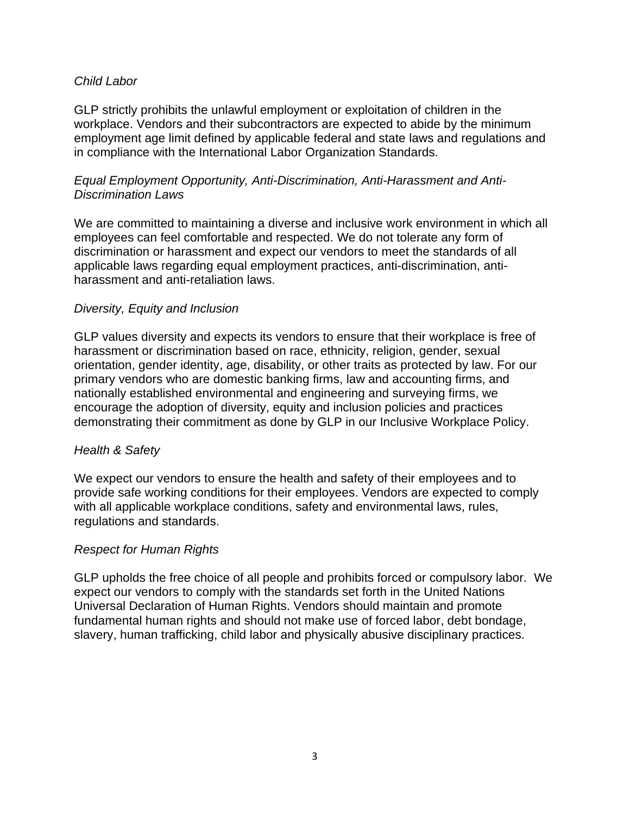#### *Child Labor*

GLP strictly prohibits the unlawful employment or exploitation of children in the workplace. Vendors and their subcontractors are expected to abide by the minimum employment age limit defined by applicable federal and state laws and regulations and in compliance with the International Labor Organization Standards.

#### *Equal Employment Opportunity, Anti-Discrimination, Anti-Harassment and Anti-Discrimination Laws*

We are committed to maintaining a diverse and inclusive work environment in which all employees can feel comfortable and respected. We do not tolerate any form of discrimination or harassment and expect our vendors to meet the standards of all applicable laws regarding equal employment practices, anti-discrimination, antiharassment and anti-retaliation laws.

### *Diversity, Equity and Inclusion*

GLP values diversity and expects its vendors to ensure that their workplace is free of harassment or discrimination based on race, ethnicity, religion, gender, sexual orientation, gender identity, age, disability, or other traits as protected by law. For our primary vendors who are domestic banking firms, law and accounting firms, and nationally established environmental and engineering and surveying firms, we encourage the adoption of diversity, equity and inclusion policies and practices demonstrating their commitment as done by GLP in our Inclusive Workplace Policy.

#### *Health & Safety*

We expect our vendors to ensure the health and safety of their employees and to provide safe working conditions for their employees. Vendors are expected to comply with all applicable workplace conditions, safety and environmental laws, rules, regulations and standards.

# *Respect for Human Rights*

GLP upholds the free choice of all people and prohibits forced or compulsory labor. We expect our vendors to comply with the standards set forth in the United Nations Universal Declaration of Human Rights. Vendors should maintain and promote fundamental human rights and should not make use of forced labor, debt bondage, slavery, human trafficking, child labor and physically abusive disciplinary practices.